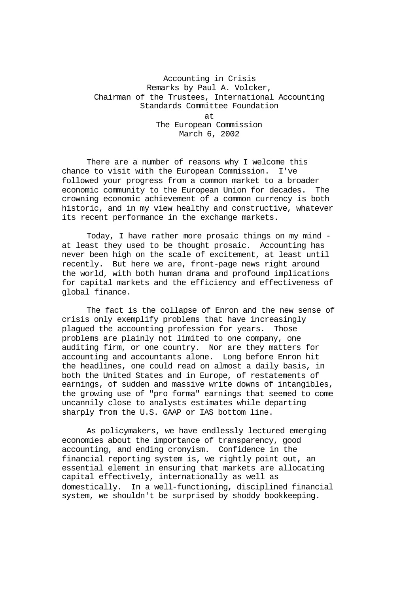# Accounting in Crisis Remarks by Paul A. Volcker, Chairman of the Trustees, International Accounting Standards Committee Foundation at The European Commission

March 6, 2002

There are a number of reasons why I welcome this chance to visit with the European Commission. I've followed your progress from a common market to a broader economic community to the European Union for decades. The crowning economic achievement of a common currency is both historic, and in my view healthy and constructive, whatever its recent performance in the exchange markets.

Today, I have rather more prosaic things on my mind at least they used to be thought prosaic. Accounting has never been high on the scale of excitement, at least until recently. But here we are, front-page news right around the world, with both human drama and profound implications for capital markets and the efficiency and effectiveness of global finance.

The fact is the collapse of Enron and the new sense of crisis only exemplify problems that have increasingly plagued the accounting profession for years. Those problems are plainly not limited to one company, one auditing firm, or one country. Nor are they matters for accounting and accountants alone. Long before Enron hit the headlines, one could read on almost a daily basis, in both the United States and in Europe, of restatements of earnings, of sudden and massive write downs of intangibles, the growing use of "pro forma" earnings that seemed to come uncannily close to analysts estimates while departing sharply from the U.S. GAAP or IAS bottom line.

As policymakers, we have endlessly lectured emerging economies about the importance of transparency, good accounting, and ending cronyism. Confidence in the financial reporting system is, we rightly point out, an essential element in ensuring that markets are allocating capital effectively, internationally as well as domestically. In a well-functioning, disciplined financial system, we shouldn't be surprised by shoddy bookkeeping.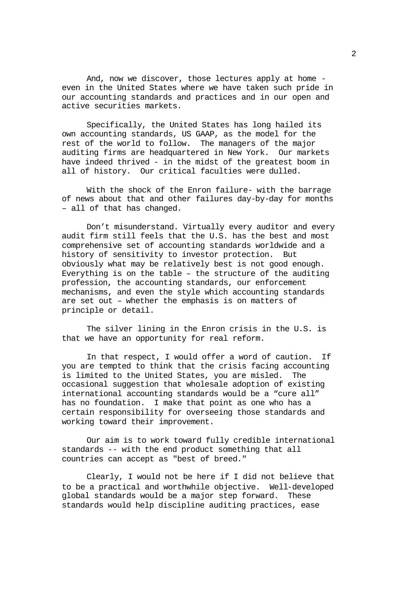And, now we discover, those lectures apply at home even in the United States where we have taken such pride in our accounting standards and practices and in our open and active securities markets.

Specifically, the United States has long hailed its own accounting standards, US GAAP, as the model for the rest of the world to follow. The managers of the major auditing firms are headquartered in New York. Our markets have indeed thrived - in the midst of the greatest boom in all of history. Our critical faculties were dulled.

With the shock of the Enron failure- with the barrage of news about that and other failures day-by-day for months – all of that has changed.

Don't misunderstand. Virtually every auditor and every audit firm still feels that the U.S. has the best and most comprehensive set of accounting standards worldwide and a history of sensitivity to investor protection. But obviously what may be relatively best is not good enough. Everything is on the table – the structure of the auditing profession, the accounting standards, our enforcement mechanisms, and even the style which accounting standards are set out – whether the emphasis is on matters of principle or detail.

The silver lining in the Enron crisis in the U.S. is that we have an opportunity for real reform.

In that respect, I would offer a word of caution. If you are tempted to think that the crisis facing accounting is limited to the United States, you are misled. The occasional suggestion that wholesale adoption of existing international accounting standards would be a "cure all" has no foundation. I make that point as one who has a certain responsibility for overseeing those standards and working toward their improvement.

Our aim is to work toward fully credible international standards -- with the end product something that all countries can accept as "best of breed."

Clearly, I would not be here if I did not believe that to be a practical and worthwhile objective. Well-developed global standards would be a major step forward. These standards would help discipline auditing practices, ease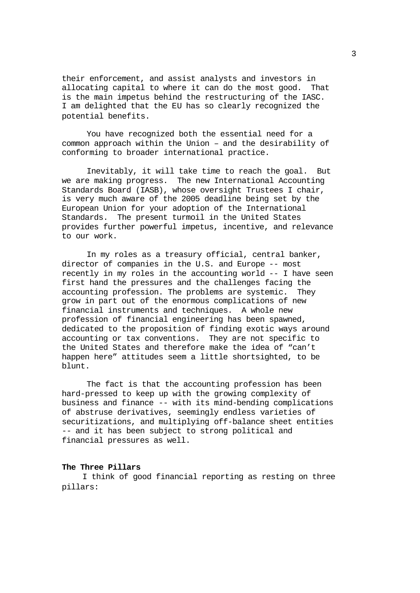their enforcement, and assist analysts and investors in allocating capital to where it can do the most good. That is the main impetus behind the restructuring of the IASC. I am delighted that the EU has so clearly recognized the potential benefits.

You have recognized both the essential need for a common approach within the Union – and the desirability of conforming to broader international practice.

Inevitably, it will take time to reach the goal. But we are making progress. The new International Accounting Standards Board (IASB), whose oversight Trustees I chair, is very much aware of the 2005 deadline being set by the European Union for your adoption of the International Standards. The present turmoil in the United States provides further powerful impetus, incentive, and relevance to our work.

In my roles as a treasury official, central banker, director of companies in the U.S. and Europe -- most recently in my roles in the accounting world -- I have seen first hand the pressures and the challenges facing the accounting profession. The problems are systemic. They grow in part out of the enormous complications of new financial instruments and techniques. A whole new profession of financial engineering has been spawned, dedicated to the proposition of finding exotic ways around accounting or tax conventions. They are not specific to the United States and therefore make the idea of "can't happen here" attitudes seem a little shortsighted, to be blunt.

The fact is that the accounting profession has been hard-pressed to keep up with the growing complexity of business and finance -- with its mind-bending complications of abstruse derivatives, seemingly endless varieties of securitizations, and multiplying off-balance sheet entities -- and it has been subject to strong political and financial pressures as well.

## **The Three Pillars**

I think of good financial reporting as resting on three pillars: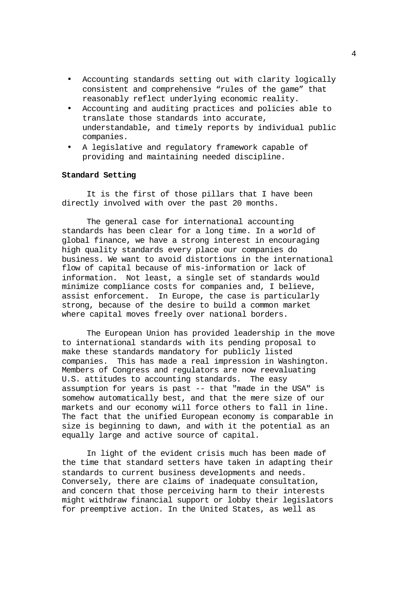- Accounting standards setting out with clarity logically consistent and comprehensive "rules of the game" that reasonably reflect underlying economic reality.
- Accounting and auditing practices and policies able to translate those standards into accurate, understandable, and timely reports by individual public companies.
- A legislative and regulatory framework capable of providing and maintaining needed discipline.

### **Standard Setting**

It is the first of those pillars that I have been directly involved with over the past 20 months.

The general case for international accounting standards has been clear for a long time. In a world of global finance, we have a strong interest in encouraging high quality standards every place our companies do business. We want to avoid distortions in the international flow of capital because of mis-information or lack of information. Not least, a single set of standards would minimize compliance costs for companies and, I believe, assist enforcement. In Europe, the case is particularly strong, because of the desire to build a common market where capital moves freely over national borders.

The European Union has provided leadership in the move to international standards with its pending proposal to make these standards mandatory for publicly listed companies. This has made a real impression in Washington. Members of Congress and regulators are now reevaluating U.S. attitudes to accounting standards. The easy assumption for years is past -- that "made in the USA" is somehow automatically best, and that the mere size of our markets and our economy will force others to fall in line. The fact that the unified European economy is comparable in size is beginning to dawn, and with it the potential as an equally large and active source of capital.

In light of the evident crisis much has been made of the time that standard setters have taken in adapting their standards to current business developments and needs. Conversely, there are claims of inadequate consultation, and concern that those perceiving harm to their interests might withdraw financial support or lobby their legislators for preemptive action. In the United States, as well as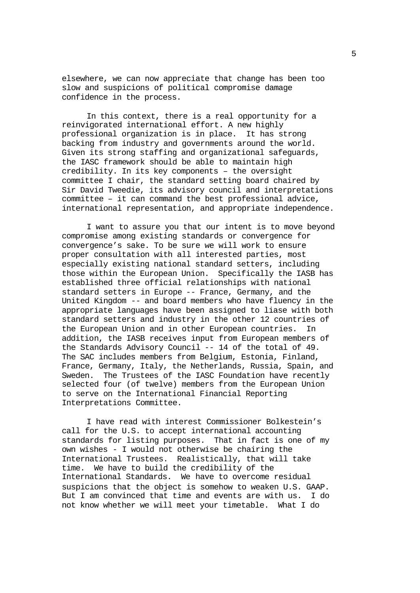elsewhere, we can now appreciate that change has been too slow and suspicions of political compromise damage confidence in the process.

In this context, there is a real opportunity for a reinvigorated international effort. A new highly professional organization is in place. It has strong backing from industry and governments around the world. Given its strong staffing and organizational safeguards, the IASC framework should be able to maintain high credibility. In its key components – the oversight committee I chair, the standard setting board chaired by Sir David Tweedie, its advisory council and interpretations committee – it can command the best professional advice, international representation, and appropriate independence.

I want to assure you that our intent is to move beyond compromise among existing standards or convergence for convergence's sake. To be sure we will work to ensure proper consultation with all interested parties, most especially existing national standard setters, including those within the European Union. Specifically the IASB has established three official relationships with national standard setters in Europe -- France, Germany, and the United Kingdom -- and board members who have fluency in the appropriate languages have been assigned to liase with both standard setters and industry in the other 12 countries of the European Union and in other European countries. In addition, the IASB receives input from European members of the Standards Advisory Council -- 14 of the total of 49. The SAC includes members from Belgium, Estonia, Finland, France, Germany, Italy, the Netherlands, Russia, Spain, and Sweden. The Trustees of the IASC Foundation have recently selected four (of twelve) members from the European Union to serve on the International Financial Reporting Interpretations Committee.

I have read with interest Commissioner Bolkestein's call for the U.S. to accept international accounting standards for listing purposes. That in fact is one of my own wishes - I would not otherwise be chairing the International Trustees. Realistically, that will take time. We have to build the credibility of the International Standards. We have to overcome residual suspicions that the object is somehow to weaken U.S. GAAP. But I am convinced that time and events are with us. I do not know whether we will meet your timetable. What I do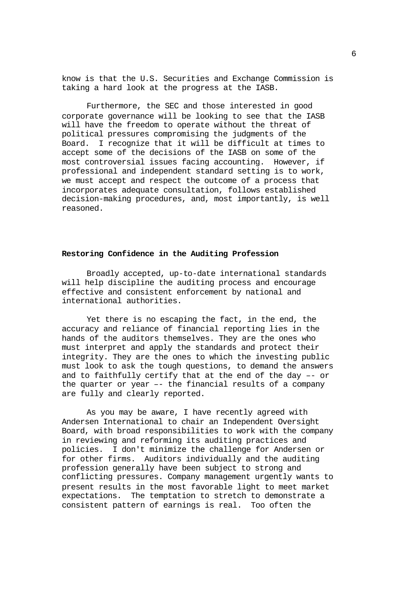know is that the U.S. Securities and Exchange Commission is taking a hard look at the progress at the IASB.

Furthermore, the SEC and those interested in good corporate governance will be looking to see that the IASB will have the freedom to operate without the threat of political pressures compromising the judgments of the Board. I recognize that it will be difficult at times to accept some of the decisions of the IASB on some of the most controversial issues facing accounting. However, if professional and independent standard setting is to work, we must accept and respect the outcome of a process that incorporates adequate consultation, follows established decision-making procedures, and, most importantly, is well reasoned.

#### **Restoring Confidence in the Auditing Profession**

Broadly accepted, up-to-date international standards will help discipline the auditing process and encourage effective and consistent enforcement by national and international authorities.

Yet there is no escaping the fact, in the end, the accuracy and reliance of financial reporting lies in the hands of the auditors themselves. They are the ones who must interpret and apply the standards and protect their integrity. They are the ones to which the investing public must look to ask the tough questions, to demand the answers and to faithfully certify that at the end of the day –- or the quarter or year –- the financial results of a company are fully and clearly reported.

As you may be aware, I have recently agreed with Andersen International to chair an Independent Oversight Board, with broad responsibilities to work with the company in reviewing and reforming its auditing practices and policies. I don't minimize the challenge for Andersen or for other firms. Auditors individually and the auditing profession generally have been subject to strong and conflicting pressures. Company management urgently wants to present results in the most favorable light to meet market expectations. The temptation to stretch to demonstrate a consistent pattern of earnings is real. Too often the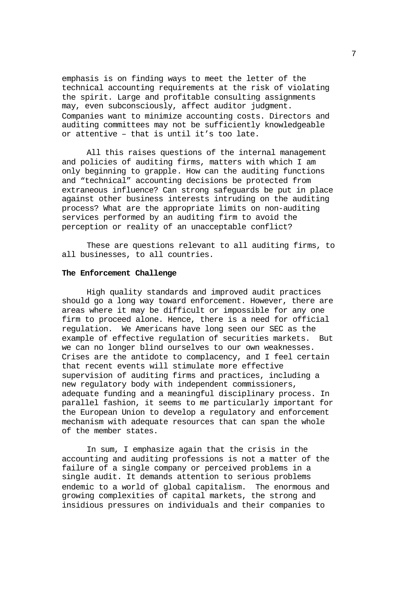emphasis is on finding ways to meet the letter of the technical accounting requirements at the risk of violating the spirit. Large and profitable consulting assignments may, even subconsciously, affect auditor judgment. Companies want to minimize accounting costs. Directors and auditing committees may not be sufficiently knowledgeable or attentive – that is until it's too late.

All this raises questions of the internal management and policies of auditing firms, matters with which I am only beginning to grapple. How can the auditing functions and "technical" accounting decisions be protected from extraneous influence? Can strong safeguards be put in place against other business interests intruding on the auditing process? What are the appropriate limits on non-auditing services performed by an auditing firm to avoid the perception or reality of an unacceptable conflict?

These are questions relevant to all auditing firms, to all businesses, to all countries.

## **The Enforcement Challenge**

High quality standards and improved audit practices should go a long way toward enforcement. However, there are areas where it may be difficult or impossible for any one firm to proceed alone. Hence, there is a need for official regulation. We Americans have long seen our SEC as the example of effective regulation of securities markets. But we can no longer blind ourselves to our own weaknesses. Crises are the antidote to complacency, and I feel certain that recent events will stimulate more effective supervision of auditing firms and practices, including a new regulatory body with independent commissioners, adequate funding and a meaningful disciplinary process. In parallel fashion, it seems to me particularly important for the European Union to develop a regulatory and enforcement mechanism with adequate resources that can span the whole of the member states.

In sum, I emphasize again that the crisis in the accounting and auditing professions is not a matter of the failure of a single company or perceived problems in a single audit. It demands attention to serious problems endemic to a world of global capitalism. The enormous and growing complexities of capital markets, the strong and insidious pressures on individuals and their companies to